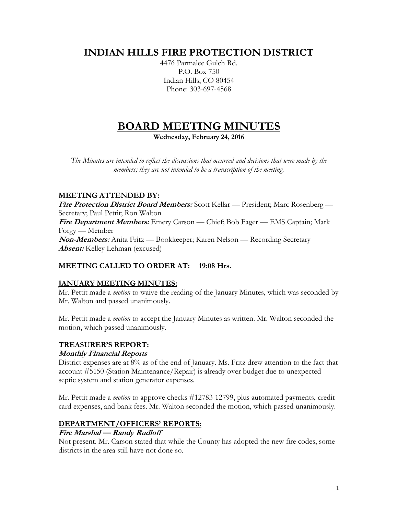# **INDIAN HILLS FIRE PROTECTION DISTRICT**

4476 Parmalee Gulch Rd. P.O. Box 750 Indian Hills, CO 80454 Phone: 303-697-4568

# **BOARD MEETING MINUTES**

**Wednesday, February 24, 2016**

*The Minutes are intended to reflect the discussions that occurred and decisions that were made by the members; they are not intended to be a transcription of the meeting.*

# **MEETING ATTENDED BY:**

**Fire Protection District Board Members:** Scott Kellar — President; Marc Rosenberg — Secretary; Paul Pettit; Ron Walton **Fire Department Members:** Emery Carson — Chief; Bob Fager — EMS Captain; Mark Forgy — Member **Non-Members:** Anita Fritz — Bookkeeper; Karen Nelson — Recording Secretary **Absent:** Kelley Lehman (excused)

# **MEETING CALLED TO ORDER AT: 19:08 Hrs.**

# **JANUARY MEETING MINUTES:**

Mr. Pettit made a *motion* to waive the reading of the January Minutes, which was seconded by Mr. Walton and passed unanimously.

Mr. Pettit made a *motion* to accept the January Minutes as written. Mr. Walton seconded the motion, which passed unanimously.

# **TREASURER'S REPORT:**

#### **Monthly Financial Reports**

District expenses are at 8% as of the end of January. Ms. Fritz drew attention to the fact that account #5150 (Station Maintenance/Repair) is already over budget due to unexpected septic system and station generator expenses.

Mr. Pettit made a *motion* to approve checks #12783-12799, plus automated payments, credit card expenses, and bank fees. Mr. Walton seconded the motion, which passed unanimously.

# **DEPARTMENT/OFFICERS' REPORTS:**

# **Fire Marshal — Randy Rudloff**

Not present. Mr. Carson stated that while the County has adopted the new fire codes, some districts in the area still have not done so.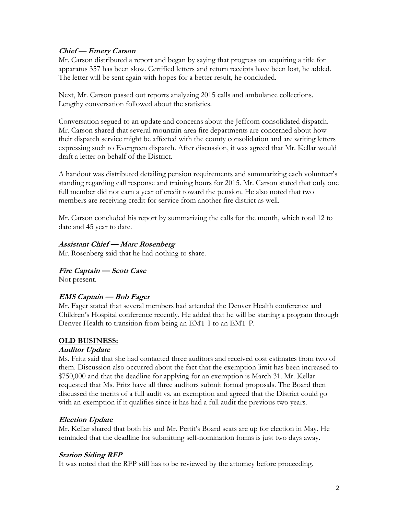#### **Chief — Emery Carson**

Mr. Carson distributed a report and began by saying that progress on acquiring a title for apparatus 357 has been slow. Certified letters and return receipts have been lost, he added. The letter will be sent again with hopes for a better result, he concluded.

Next, Mr. Carson passed out reports analyzing 2015 calls and ambulance collections. Lengthy conversation followed about the statistics.

Conversation segued to an update and concerns about the Jeffcom consolidated dispatch. Mr. Carson shared that several mountain-area fire departments are concerned about how their dispatch service might be affected with the county consolidation and are writing letters expressing such to Evergreen dispatch. After discussion, it was agreed that Mr. Kellar would draft a letter on behalf of the District.

A handout was distributed detailing pension requirements and summarizing each volunteer's standing regarding call response and training hours for 2015. Mr. Carson stated that only one full member did not earn a year of credit toward the pension. He also noted that two members are receiving credit for service from another fire district as well.

Mr. Carson concluded his report by summarizing the calls for the month, which total 12 to date and 45 year to date.

#### **Assistant Chief — Marc Rosenberg**

Mr. Rosenberg said that he had nothing to share.

**Fire Captain — Scott Case**

Not present.

# **EMS Captain — Bob Fager**

Mr. Fager stated that several members had attended the Denver Health conference and Children's Hospital conference recently. He added that he will be starting a program through Denver Health to transition from being an EMT-I to an EMT-P.

# **OLD BUSINESS:**

#### **Auditor Update**

Ms. Fritz said that she had contacted three auditors and received cost estimates from two of them. Discussion also occurred about the fact that the exemption limit has been increased to \$750,000 and that the deadline for applying for an exemption is March 31. Mr. Kellar requested that Ms. Fritz have all three auditors submit formal proposals. The Board then discussed the merits of a full audit vs. an exemption and agreed that the District could go with an exemption if it qualifies since it has had a full audit the previous two years.

# **Election Update**

Mr. Kellar shared that both his and Mr. Pettit's Board seats are up for election in May. He reminded that the deadline for submitting self-nomination forms is just two days away.

#### **Station Siding RFP**

It was noted that the RFP still has to be reviewed by the attorney before proceeding.